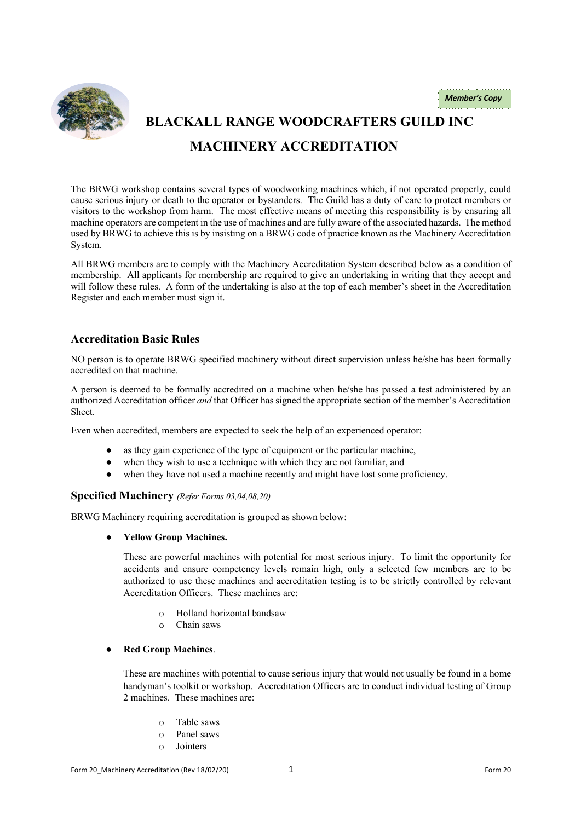

# **BLACKALL RANGE WOODCRAFTERS GUILD INC MACHINERY ACCREDITATION**

The BRWG workshop contains several types of woodworking machines which, if not operated properly, could cause serious injury or death to the operator or bystanders. The Guild has a duty of care to protect members or visitors to the workshop from harm. The most effective means of meeting this responsibility is by ensuring all machine operators are competent in the use of machines and are fully aware of the associated hazards. The method used by BRWG to achieve this is by insisting on a BRWG code of practice known as the Machinery Accreditation System.

All BRWG members are to comply with the Machinery Accreditation System described below as a condition of membership. All applicants for membership are required to give an undertaking in writing that they accept and will follow these rules. A form of the undertaking is also at the top of each member's sheet in the Accreditation Register and each member must sign it.

# **Accreditation Basic Rules**

NO person is to operate BRWG specified machinery without direct supervision unless he/she has been formally accredited on that machine.

A person is deemed to be formally accredited on a machine when he/she has passed a test administered by an authorized Accreditation officer *and* that Officer has signed the appropriate section of the member's Accreditation Sheet.

Even when accredited, members are expected to seek the help of an experienced operator:

- as they gain experience of the type of equipment or the particular machine,
- when they wish to use a technique with which they are not familiar, and
- when they have not used a machine recently and might have lost some proficiency.

#### **Specified Machinery** *(Refer Forms 03,04,08,20)*

BRWG Machinery requiring accreditation is grouped as shown below:

● **Yellow Group Machines.**

These are powerful machines with potential for most serious injury. To limit the opportunity for accidents and ensure competency levels remain high, only a selected few members are to be authorized to use these machines and accreditation testing is to be strictly controlled by relevant Accreditation Officers. These machines are:

- o Holland horizontal bandsaw
- o Chain saws

#### **Red Group Machines.**

These are machines with potential to cause serious injury that would not usually be found in a home handyman's toolkit or workshop. Accreditation Officers are to conduct individual testing of Group 2 machines. These machines are:

- o Table saws
- o Panel saws
- o Jointers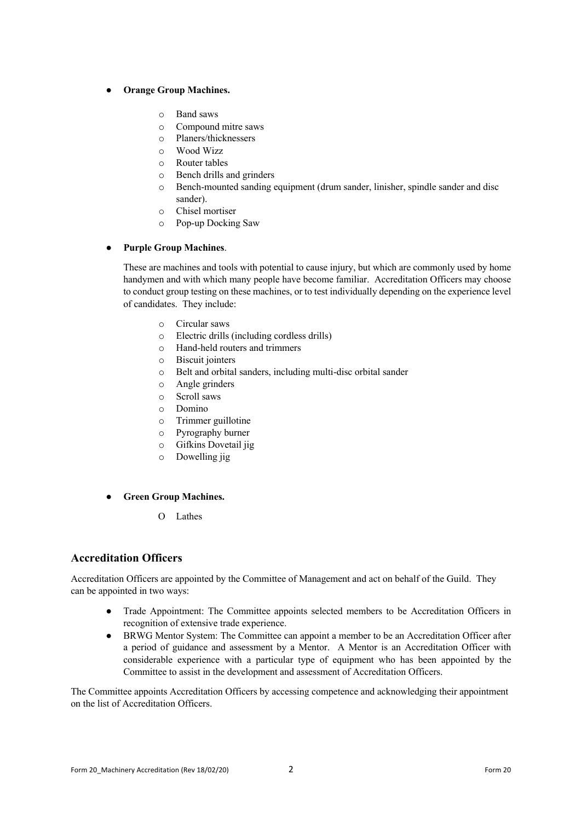#### **Orange Group Machines.**

- o Band saws
- o Compound mitre saws
- o Planers/thicknessers
- o Wood Wizz
- o Router tables
- o Bench drills and grinders
- o Bench-mounted sanding equipment (drum sander, linisher, spindle sander and disc sander).
- o Chisel mortiser
- o Pop-up Docking Saw

#### **Purple Group Machines.**

These are machines and tools with potential to cause injury, but which are commonly used by home handymen and with which many people have become familiar. Accreditation Officers may choose to conduct group testing on these machines, or to test individually depending on the experience level of candidates. They include:

- o Circular saws
- o Electric drills (including cordless drills)
- o Hand-held routers and trimmers
- o Biscuit jointers
- o Belt and orbital sanders, including multi-disc orbital sander
- o Angle grinders
- o Scroll saws
- o Domino
- o Trimmer guillotine
- o Pyrography burner
- o Gifkins Dovetail jig
- o Dowelling jig
- **Green Group Machines.**
	- O Lathes

## **Accreditation Officers**

Accreditation Officers are appointed by the Committee of Management and act on behalf of the Guild. They can be appointed in two ways:

- Trade Appointment: The Committee appoints selected members to be Accreditation Officers in recognition of extensive trade experience.
- BRWG Mentor System: The Committee can appoint a member to be an Accreditation Officer after a period of guidance and assessment by a Mentor. A Mentor is an Accreditation Officer with considerable experience with a particular type of equipment who has been appointed by the Committee to assist in the development and assessment of Accreditation Officers.

The Committee appoints Accreditation Officers by accessing competence and acknowledging their appointment on the list of Accreditation Officers.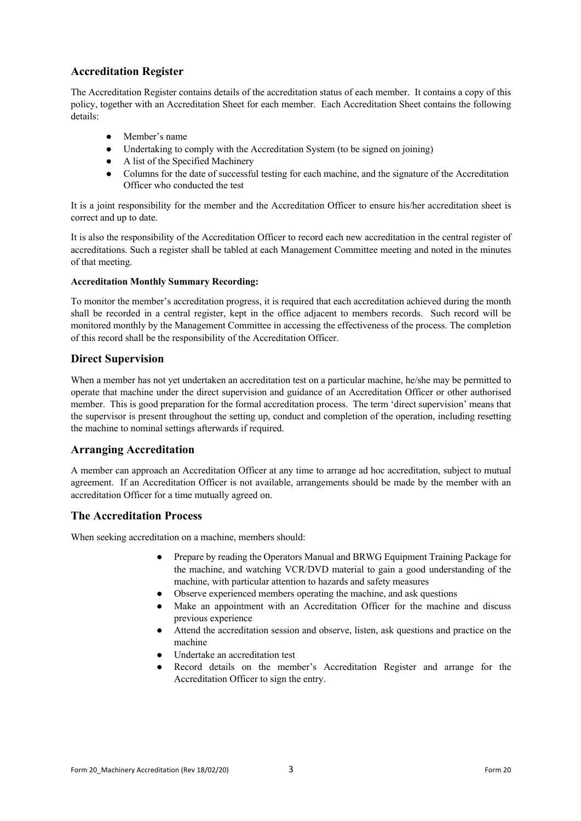# **Accreditation Register**

The Accreditation Register contains details of the accreditation status of each member. It contains a copy of this policy, together with an Accreditation Sheet for each member. Each Accreditation Sheet contains the following details:

- Member's name
- Undertaking to comply with the Accreditation System (to be signed on joining)
- A list of the Specified Machinery
- Columns for the date of successful testing for each machine, and the signature of the Accreditation Officer who conducted the test

It is a joint responsibility for the member and the Accreditation Officer to ensure his/her accreditation sheet is correct and up to date.

It is also the responsibility of the Accreditation Officer to record each new accreditation in the central register of accreditations. Such a register shall be tabled at each Management Committee meeting and noted in the minutes of that meeting.

## **Accreditation Monthly Summary Recording:**

To monitor the member's accreditation progress, it is required that each accreditation achieved during the month shall be recorded in a central register, kept in the office adjacent to members records. Such record will be monitored monthly by the Management Committee in accessing the effectiveness of the process. The completion of this record shall be the responsibility of the Accreditation Officer.

## **Direct Supervision**

When a member has not yet undertaken an accreditation test on a particular machine, he/she may be permitted to operate that machine under the direct supervision and guidance of an Accreditation Officer or other authorised member. This is good preparation for the formal accreditation process. The term 'direct supervision' means that the supervisor is present throughout the setting up, conduct and completion of the operation, including resetting the machine to nominal settings afterwards if required.

## **Arranging Accreditation**

A member can approach an Accreditation Officer at any time to arrange ad hoc accreditation, subject to mutual agreement. If an Accreditation Officer is not available, arrangements should be made by the member with an accreditation Officer for a time mutually agreed on.

## **The Accreditation Process**

When seeking accreditation on a machine, members should:

- Prepare by reading the Operators Manual and BRWG Equipment Training Package for the machine, and watching VCR/DVD material to gain a good understanding of the machine, with particular attention to hazards and safety measures
- Observe experienced members operating the machine, and ask questions
- Make an appointment with an Accreditation Officer for the machine and discuss previous experience
- Attend the accreditation session and observe, listen, ask questions and practice on the machine
- Undertake an accreditation test
- Record details on the member's Accreditation Register and arrange for the Accreditation Officer to sign the entry.